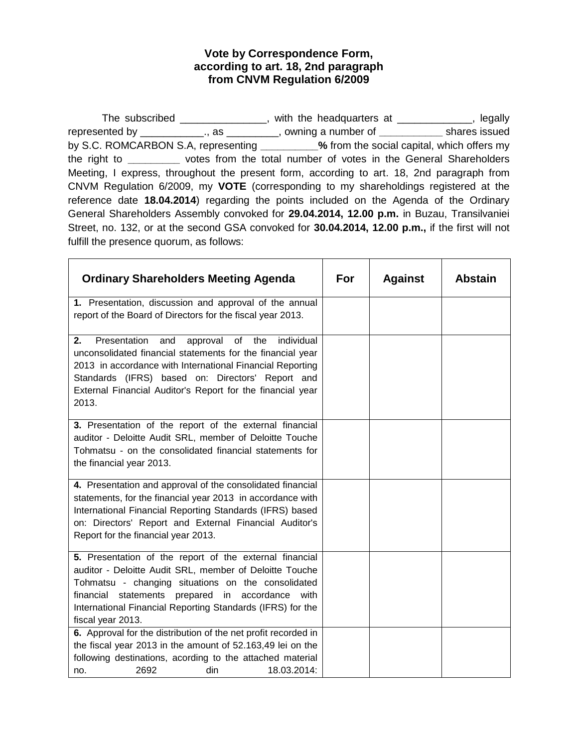## **Vote by Correspondence Form, according to art. 18, 2nd paragraph from CNVM Regulation 6/2009**

The subscribed \_\_\_\_\_\_\_\_\_\_\_\_\_\_\_, with the headquarters at \_\_\_\_\_\_\_\_\_\_\_\_, legally represented by \_\_\_\_\_\_\_\_\_\_\_., as \_\_\_\_\_\_\_\_\_, owning a number of **\_\_\_\_\_\_\_\_\_\_\_** shares issued by S.C. ROMCARBON S.A, representing **\_\_\_\_\_\_\_\_\_\_%** from the social capital, which offers my the right to **\_\_\_\_\_\_\_\_\_** votes from the total number of votes in the General Shareholders Meeting, I express, throughout the present form, according to art. 18, 2nd paragraph from CNVM Regulation 6/2009, my **VOTE** (corresponding to my shareholdings registered at the reference date **18.04.2014**) regarding the points included on the Agenda of the Ordinary General Shareholders Assembly convoked for **29.04.2014, 12.00 p.m.** in Buzau, Transilvaniei Street, no. 132, or at the second GSA convoked for **30.04.2014, 12.00 p.m.,** if the first will not fulfill the presence quorum, as follows:

| <b>Ordinary Shareholders Meeting Agenda</b>                                                                                                                                                                                                                                                                            | For | <b>Against</b> | <b>Abstain</b> |
|------------------------------------------------------------------------------------------------------------------------------------------------------------------------------------------------------------------------------------------------------------------------------------------------------------------------|-----|----------------|----------------|
| 1. Presentation, discussion and approval of the annual<br>report of the Board of Directors for the fiscal year 2013.                                                                                                                                                                                                   |     |                |                |
| Presentation<br>individual<br>2.<br>approval<br>of<br>the<br>and<br>unconsolidated financial statements for the financial year<br>2013 in accordance with International Financial Reporting<br>Standards (IFRS) based on: Directors' Report and<br>External Financial Auditor's Report for the financial year<br>2013. |     |                |                |
| 3. Presentation of the report of the external financial<br>auditor - Deloitte Audit SRL, member of Deloitte Touche<br>Tohmatsu - on the consolidated financial statements for<br>the financial year 2013.                                                                                                              |     |                |                |
| 4. Presentation and approval of the consolidated financial<br>statements, for the financial year 2013 in accordance with<br>International Financial Reporting Standards (IFRS) based<br>on: Directors' Report and External Financial Auditor's<br>Report for the financial year 2013.                                  |     |                |                |
| 5. Presentation of the report of the external financial<br>auditor - Deloitte Audit SRL, member of Deloitte Touche<br>Tohmatsu - changing situations on the consolidated<br>statements<br>prepared in accordance with<br>financial<br>International Financial Reporting Standards (IFRS) for the<br>fiscal year 2013.  |     |                |                |
| 6. Approval for the distribution of the net profit recorded in<br>the fiscal year 2013 in the amount of 52.163,49 lei on the<br>following destinations, acording to the attached material<br>2692<br>18.03.2014:<br>din<br>no.                                                                                         |     |                |                |